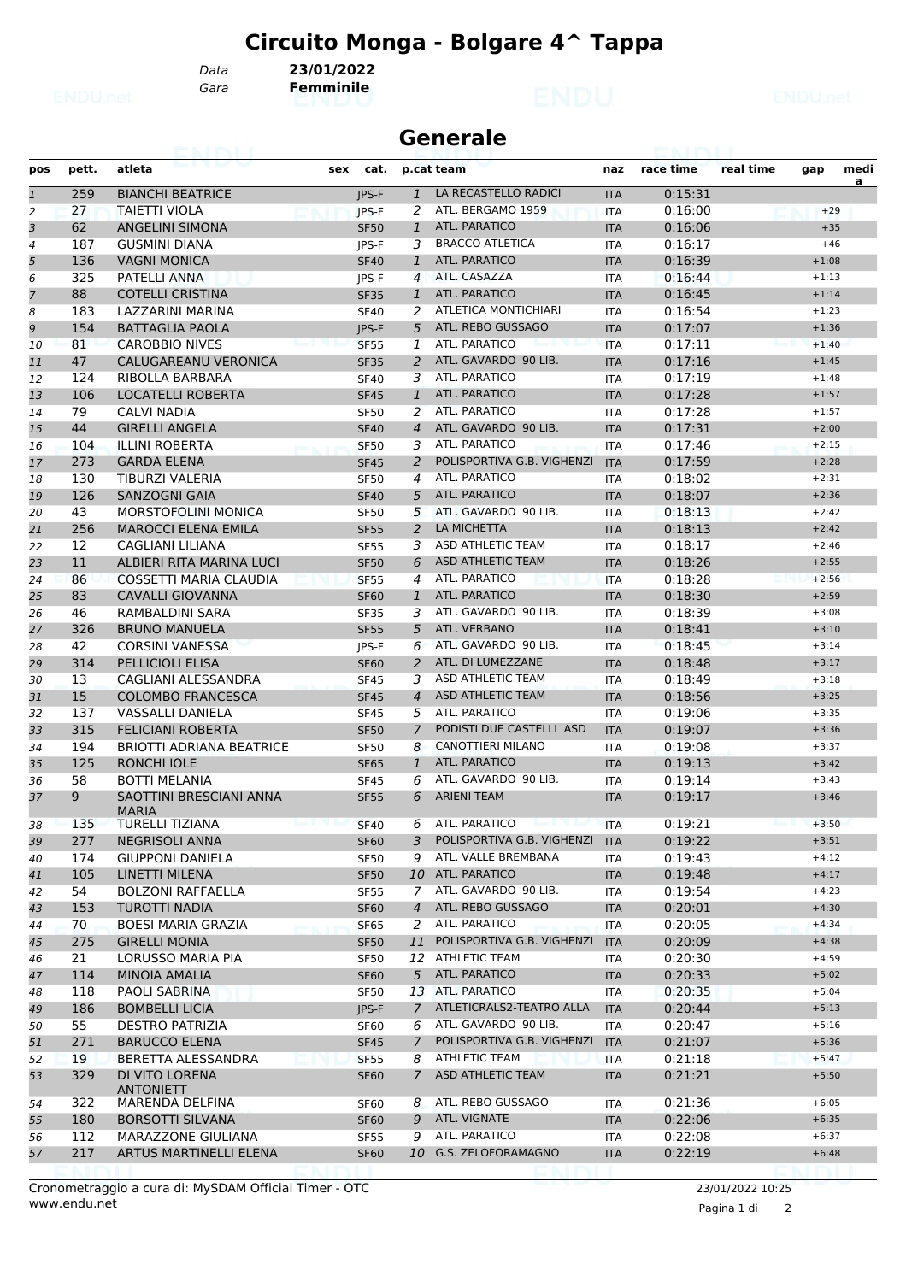# **Circuito Monga - Bolgare 4^ Tappa**

*Data* **23/01/2022**

*Gara* **Femminile**

|                | <b>Generale</b><br>avi red |                                         |                  |                |                                          |            |           |           |         |      |  |  |
|----------------|----------------------------|-----------------------------------------|------------------|----------------|------------------------------------------|------------|-----------|-----------|---------|------|--|--|
| pos            | pett.                      | atleta                                  | sex<br>cat.      |                | p.cat team                               | naz        | race time | real time | gap     | medi |  |  |
| $\mathbf{1}$   | 259                        | <b>BIANCHI BEATRICE</b>                 | <b>IPS-F</b>     | $\mathbf{1}$   | LA RECASTELLO RADICI                     | <b>ITA</b> | 0:15:31   |           |         | a    |  |  |
| 2              | 27                         | <b>TAIETTI VIOLA</b>                    | JPS-F            | 2              | ATL. BERGAMO 1959                        | <b>ITA</b> | 0:16:00   |           | $+29$   |      |  |  |
| 3              | 62                         | <b>ANGELINI SIMONA</b>                  | <b>SF50</b>      | $\mathbf{1}$   | <b>ATL. PARATICO</b>                     | <b>ITA</b> | 0:16:06   |           | $+35$   |      |  |  |
| 4              | 187                        | <b>GUSMINI DIANA</b>                    | IPS-F            | 3              | <b>BRACCO ATLETICA</b>                   | <b>ITA</b> | 0:16:17   |           | $+46$   |      |  |  |
| 5              | 136                        | <b>VAGNI MONICA</b>                     | <b>SF40</b>      | $\mathbf{1}$   | ATL. PARATICO                            | <b>ITA</b> | 0:16:39   |           | $+1:08$ |      |  |  |
| 6              | 325                        | <b>PATELLI ANNA</b>                     | JPS-F            | $\overline{4}$ | ATL. CASAZZA                             | <b>ITA</b> | 0:16:44   |           | $+1:13$ |      |  |  |
| $\overline{7}$ | 88                         | <b>COTELLI CRISTINA</b>                 | <b>SF35</b>      | $\mathbf{1}$   | ATL. PARATICO                            | <b>ITA</b> | 0:16:45   |           | $+1:14$ |      |  |  |
| 8              | 183                        | LAZZARINI MARINA                        | <b>SF40</b>      | 2              | <b>ATLETICA MONTICHIARI</b>              | <b>ITA</b> | 0:16:54   |           | $+1:23$ |      |  |  |
| 9              | 154                        | <b>BATTAGLIA PAOLA</b>                  | JPS-F            | 5              | ATL. REBO GUSSAGO                        | <b>ITA</b> | 0:17:07   |           | $+1:36$ |      |  |  |
| 10             | 81                         | <b>CAROBBIO NIVES</b>                   | <b>SF55</b>      | 1              | ATL. PARATICO                            | <b>ITA</b> | 0:17:11   |           | $+1:40$ |      |  |  |
| 11             | 47                         | CALUGAREANU VERONICA                    | <b>SF35</b>      | 2              | ATL. GAVARDO '90 LIB.                    | <b>ITA</b> | 0:17:16   |           | $+1:45$ |      |  |  |
| 12             | 124                        | RIBOLLA BARBARA                         | <b>SF40</b>      | 3              | ATL. PARATICO                            | <b>ITA</b> | 0:17:19   |           | $+1:48$ |      |  |  |
| 13             | 106                        | LOCATELLI ROBERTA                       | <b>SF45</b>      | $\mathbf{1}$   | ATL. PARATICO                            | <b>ITA</b> | 0:17:28   |           | $+1:57$ |      |  |  |
| 14             | 79                         | CALVI NADIA                             | <b>SF50</b>      | 2              | <b>ATL, PARATICO</b>                     | <b>ITA</b> | 0:17:28   |           | $+1:57$ |      |  |  |
| 15             | 44                         | <b>GIRELLI ANGELA</b>                   | <b>SF40</b>      | $\overline{4}$ | ATL. GAVARDO '90 LIB.                    | <b>ITA</b> | 0:17:31   |           | $+2:00$ |      |  |  |
| 16             | 104                        | <b>ILLINI ROBERTA</b>                   | <b>SF50</b>      | 3              | ATL. PARATICO                            | <b>ITA</b> | 0:17:46   |           | $+2:15$ |      |  |  |
| 17             | 273                        | <b>GARDA ELENA</b>                      | <b>SF45</b>      | 2              | POLISPORTIVA G.B. VIGHENZI               | <b>ITA</b> | 0:17:59   |           | $+2:28$ |      |  |  |
| 18             | 130                        | TIBURZI VALERIA                         | <b>SF50</b>      | 4              | ATL. PARATICO                            | <b>ITA</b> | 0:18:02   |           | $+2:31$ |      |  |  |
| 19             | 126                        | <b>SANZOGNI GAIA</b>                    | <b>SF40</b>      | 5              | ATL. PARATICO                            | <b>ITA</b> | 0:18:07   |           | $+2:36$ |      |  |  |
| 20             | 43                         | <b>MORSTOFOLINI MONICA</b>              | <b>SF50</b>      | 5              | ATL. GAVARDO '90 LIB.                    | <b>ITA</b> | 0:18:13   |           | $+2:42$ |      |  |  |
| 21             | 256                        | <b>MAROCCI ELENA EMILA</b>              | <b>SF55</b>      | 2              | LA MICHETTA                              | <b>ITA</b> | 0:18:13   |           | $+2:42$ |      |  |  |
| 22             | 12                         | CAGLIANI LILIANA                        | <b>SF55</b>      | 3              | ASD ATHLETIC TEAM                        | <b>ITA</b> | 0:18:17   |           | $+2:46$ |      |  |  |
| 23             | 11                         | ALBIERI RITA MARINA LUCI                | <b>SF50</b>      | 6              | <b>ASD ATHLETIC TEAM</b>                 | <b>ITA</b> | 0:18:26   |           | $+2:55$ |      |  |  |
| 24             | 86                         | <b>COSSETTI MARIA CLAUDIA</b>           | <b>SF55</b>      | 4              | ATL. PARATICO                            | <b>ITA</b> | 0:18:28   |           | $+2:56$ |      |  |  |
| 25             | 83                         | <b>CAVALLI GIOVANNA</b>                 | <b>SF60</b>      | $\mathbf{1}$   | <b>ATL. PARATICO</b>                     | <b>ITA</b> | 0:18:30   |           | $+2:59$ |      |  |  |
| 26             | 46                         | RAMBALDINI SARA                         | <b>SF35</b>      | 3              | ATL. GAVARDO '90 LIB.                    | <b>ITA</b> | 0:18:39   |           | $+3:08$ |      |  |  |
| 27             | 326                        | <b>BRUNO MANUELA</b>                    | <b>SF55</b>      | 5              | ATL. VERBANO                             | <b>ITA</b> | 0:18:41   |           | $+3:10$ |      |  |  |
| 28             | 42                         | <b>CORSINI VANESSA</b>                  | JPS-F            | 6              | ATL. GAVARDO '90 LIB.                    | <b>ITA</b> | 0:18:45   |           | $+3:14$ |      |  |  |
| 29             | 314                        | <b>PELLICIOLI ELISA</b>                 | <b>SF60</b>      | 2              | ATL. DI LUMEZZANE                        | <b>ITA</b> | 0:18:48   |           | $+3:17$ |      |  |  |
| 30             | 13                         | CAGLIANI ALESSANDRA                     | <b>SF45</b>      | 3              | ASD ATHLETIC TEAM                        | <b>ITA</b> | 0:18:49   |           | $+3:18$ |      |  |  |
| 31             | 15                         | <b>COLOMBO FRANCESCA</b>                | <b>SF45</b>      | $\overline{4}$ | <b>ASD ATHLETIC TEAM</b>                 | <b>ITA</b> | 0:18:56   |           | $+3:25$ |      |  |  |
| 32             | 137                        | <b>VASSALLI DANIELA</b>                 | <b>SF45</b>      | 5              | ATL. PARATICO                            | <b>ITA</b> | 0:19:06   |           | $+3:35$ |      |  |  |
| 33             | 315                        | <b>FELICIANI ROBERTA</b>                | <b>SF50</b>      | 7              | PODISTI DUE CASTELLI ASD                 | <b>ITA</b> | 0:19:07   |           | $+3:36$ |      |  |  |
| 34             | 194                        | <b>BRIOTTI ADRIANA BEATRICE</b>         | <b>SF50</b>      | 8              | <b>CANOTTIERI MILANO</b>                 | <b>ITA</b> | 0:19:08   |           | $+3:37$ |      |  |  |
| 35             | 125                        | <b>RONCHI IOLE</b>                      | <b>SF65</b>      | $\mathbf{1}$   | <b>ATL. PARATICO</b>                     | <b>ITA</b> | 0:19:13   |           | $+3:42$ |      |  |  |
| 36             | 58                         | <b>BOTTI MELANIA</b>                    | <b>SF45</b>      | 6              | ATL. GAVARDO '90 LIB.                    | ITA        | 0:19:14   |           | $+3:43$ |      |  |  |
| 37             | 9                          | SAOTTINI BRESCIANI ANNA<br><b>MARIA</b> | <b>SF55</b>      | 6              | <b>ARIENI TEAM</b>                       | <b>ITA</b> | 0:19:17   |           | $+3:46$ |      |  |  |
| 38             | 135                        | <b>TURELLI TIZIANA</b>                  | <b>SF40</b>      | 6              | ATL. PARATICO<br><b>Rook &amp; COURS</b> | <b>ITA</b> | 0:19:21   |           | $+3:50$ |      |  |  |
| 39             | 277                        | <b>NEGRISOLI ANNA</b>                   | <b>SF60</b>      | 3              | POLISPORTIVA G.B. VIGHENZI               | <b>ITA</b> | 0:19:22   |           | $+3:51$ |      |  |  |
| 40             | 174                        | <b>GIUPPONI DANIELA</b>                 | <b>SF50</b>      | 9              | ATL. VALLE BREMBANA                      | <b>ITA</b> | 0:19:43   |           | $+4:12$ |      |  |  |
| 41             | 105                        | LINETTI MILENA                          | <b>SF50</b>      |                | 10 ATL. PARATICO                         | <b>ITA</b> | 0:19:48   |           | $+4:17$ |      |  |  |
| 42             | 54                         | <b>BOLZONI RAFFAELLA</b>                | <b>SF55</b>      | $\overline{7}$ | ATL. GAVARDO '90 LIB.                    | <b>ITA</b> | 0:19:54   |           | $+4:23$ |      |  |  |
| 43             | 153                        | <b>TUROTTI NADIA</b>                    | <b>SF60</b>      | $\overline{4}$ | ATL. REBO GUSSAGO                        | <b>ITA</b> | 0:20:01   |           | $+4:30$ |      |  |  |
| 44             | 70                         | <b>BOESI MARIA GRAZIA</b>               | <b>SF65</b>      | 2              | ATL. PARATICO                            | <b>ITA</b> | 0:20:05   |           | $+4:34$ |      |  |  |
| 45             | 275                        | <b>GIRELLI MONIA</b>                    | <b>SF50</b>      | 11             | POLISPORTIVA G.B. VIGHENZI               | <b>ITA</b> | 0:20:09   |           | $+4:38$ |      |  |  |
| 46             | 21                         | LORUSSO MARIA PIA                       | SF50             |                | 12 ATHLETIC TEAM                         | ITA        | 0:20:30   |           | $+4:59$ |      |  |  |
| 47             | 114                        | MINOIA AMALIA                           | <b>SF60</b>      | 5 <sup>5</sup> | ATL. PARATICO                            | <b>ITA</b> | 0:20:33   |           | $+5:02$ |      |  |  |
| 48             | 118                        | PAOLI SABRINA                           | SF50             |                | 13 ATL. PARATICO                         | <b>ITA</b> | 0:20:35   |           | $+5:04$ |      |  |  |
| 49             | 186                        | <b>BOMBELLI LICIA</b>                   | JPS-F            | $\overline{7}$ | ATLETICRALS2-TEATRO ALLA                 | <b>ITA</b> | 0:20:44   |           | $+5:13$ |      |  |  |
| 50             | 55                         | <b>DESTRO PATRIZIA</b>                  | SF <sub>60</sub> | 6              | ATL. GAVARDO '90 LIB.                    | <b>ITA</b> | 0:20:47   |           | $+5:16$ |      |  |  |
| 51             | 271                        | <b>BARUCCO ELENA</b>                    | <b>SF45</b>      | 7              | POLISPORTIVA G.B. VIGHENZI               | <b>ITA</b> | 0:21:07   |           | $+5:36$ |      |  |  |
| 52             | 19                         | BERETTA ALESSANDRA                      | <b>SF55</b>      | 8              | <b>ATHLETIC TEAM</b>                     | <b>ITA</b> | 0:21:18   |           | $+5:47$ |      |  |  |
| 53             | 329                        | DI VITO LORENA<br><b>ANTONIETT</b>      | <b>SF60</b>      | $\mathcal{I}$  | <b>ASD ATHLETIC TEAM</b>                 | <b>ITA</b> | 0:21:21   |           | $+5:50$ |      |  |  |
| 54             | 322                        | MARENDA DELFINA                         | <b>SF60</b>      | 8              | ATL. REBO GUSSAGO                        | <b>ITA</b> | 0:21:36   |           | $+6:05$ |      |  |  |
| 55             | 180                        | <b>BORSOTTI SILVANA</b>                 | <b>SF60</b>      | 9              | ATL. VIGNATE                             | <b>ITA</b> | 0:22:06   |           | $+6:35$ |      |  |  |
| 56             | 112                        | MARAZZONE GIULIANA                      | <b>SF55</b>      | 9              | ATL. PARATICO                            | <b>ITA</b> | 0:22:08   |           | $+6:37$ |      |  |  |
| 57             | 217                        | ARTUS MARTINELLI ELENA                  | <b>SF60</b>      |                | 10 G.S. ZELOFORAMAGNO                    | <b>ITA</b> | 0:22:19   |           | $+6:48$ |      |  |  |
|                |                            |                                         |                  |                |                                          |            |           |           |         |      |  |  |

www.endu.net Cronometraggio a cura di: MySDAM Official Timer - OTC 23/01/2022 10:25

Pagina 1 di 2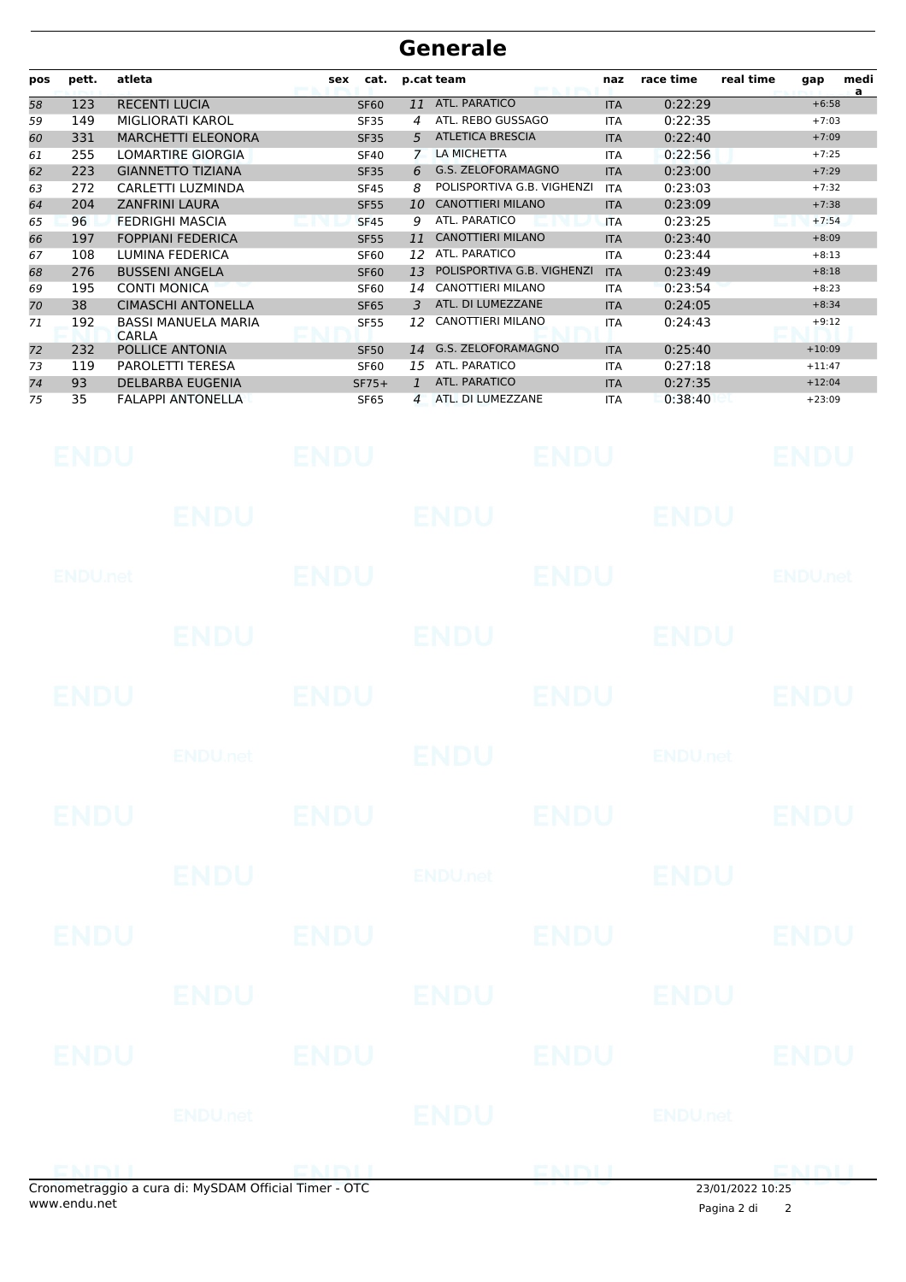| pos | pett. | atleta                              | cat.<br>sex |    | p.cat team                 | naz        | race time | real time<br>medi<br>gap<br>a |
|-----|-------|-------------------------------------|-------------|----|----------------------------|------------|-----------|-------------------------------|
| 58  | 123   | <b>RECENTI LUCIA</b>                | <b>SF60</b> | 11 | <b>ATL. PARATICO</b>       | <b>ITA</b> | 0:22:29   | $+6:58$                       |
| 59  | 149   | MIGLIORATI KAROL                    | <b>SF35</b> | 4  | ATL. REBO GUSSAGO          | <b>ITA</b> | 0:22:35   | $+7:03$                       |
| 60  | 331   | <b>MARCHETTI ELEONORA</b>           | <b>SF35</b> | 5  | <b>ATLETICA BRESCIA</b>    | <b>ITA</b> | 0:22:40   | $+7:09$                       |
| 61  | 255   | <b>LOMARTIRE GIORGIA</b>            | <b>SF40</b> |    | LA MICHETTA                | <b>ITA</b> | 0:22:56   | $+7:25$                       |
| 62  | 223   | <b>GIANNETTO TIZIANA</b>            | <b>SF35</b> | 6  | G.S. ZELOFORAMAGNO         | <b>ITA</b> | 0:23:00   | $+7:29$                       |
| 63  | 272   | CARLETTI LUZMINDA                   | <b>SF45</b> | 8  | POLISPORTIVA G.B. VIGHENZI | <b>ITA</b> | 0:23:03   | $+7:32$                       |
| 64  | 204   | <b>ZANFRINI LAURA</b>               | <b>SF55</b> | 10 | <b>CANOTTIERI MILANO</b>   | <b>ITA</b> | 0:23:09   | $+7:38$                       |
| 65  | 96    | <b>FEDRIGHI MASCIA</b>              | <b>SF45</b> | 9  | ATL. PARATICO              | <b>ITA</b> | 0:23:25   | $+7:54$                       |
| 66  | 197   | <b>FOPPIANI FEDERICA</b>            | <b>SF55</b> | 11 | <b>CANOTTIERI MILANO</b>   | <b>ITA</b> | 0:23:40   | $+8:09$                       |
| 67  | 108   | LUMINA FEDERICA                     | <b>SF60</b> | 12 | ATL. PARATICO              | <b>ITA</b> | 0:23:44   | $+8:13$                       |
| 68  | 276   | <b>BUSSENI ANGELA</b>               | <b>SF60</b> | 13 | POLISPORTIVA G.B. VIGHENZI | <b>ITA</b> | 0:23:49   | $+8:18$                       |
| 69  | 195   | <b>CONTI MONICA</b>                 | <b>SF60</b> | 14 | <b>CANOTTIERI MILANO</b>   | <b>ITA</b> | 0:23:54   | $+8:23$                       |
| 70  | 38    | <b>CIMASCHI ANTONELLA</b>           | <b>SF65</b> | 3  | ATL. DI LUMEZZANE          | <b>ITA</b> | 0:24:05   | $+8:34$                       |
| 71  | 192   | <b>BASSI MANUELA MARIA</b><br>CARLA | <b>SF55</b> | 12 | <b>CANOTTIERI MILANO</b>   | <b>ITA</b> | 0:24:43   | $+9:12$                       |
| 72  | 232   | POLLICE ANTONIA                     | <b>SF50</b> | 14 | G.S. ZELOFORAMAGNO         | <b>ITA</b> | 0:25:40   | $+10:09$                      |
| 73  | 119   | <b>PAROLETTI TERESA</b>             | <b>SF60</b> | 15 | ATL. PARATICO              | <b>ITA</b> | 0:27:18   | $+11:47$                      |
| 74  | 93    | <b>DELBARBA EUGENIA</b>             | $SF75+$     |    | ATL. PARATICO              | <b>ITA</b> | 0:27:35   | $+12:04$                      |
| 75  | 35    | <b>FALAPPI ANTONELLA</b>            | <b>SF65</b> | 4  | ATL. DI LUMEZZANE          | <b>ITA</b> | 0:38:40   | $+23:09$                      |

| Cronometraggio a cura di: MySDAM Official Timer - OTC<br>www.endu.net |                            |             |                |             | 23/01/2022 10:25<br>Pagina 2 di | 2                         |
|-----------------------------------------------------------------------|----------------------------|-------------|----------------|-------------|---------------------------------|---------------------------|
| EMMI                                                                  |                            | EMBIL       |                | ENIMIT      |                                 | ENDLI                     |
|                                                                       | <b>ENDU.net</b>            |             | <b>ENDU</b>    |             | <b>ENDU.net</b>                 |                           |
| <b>ENDU</b>                                                           |                            | <b>ENDU</b> |                | <b>ENDU</b> |                                 | <b>ENDU</b>               |
|                                                                       | <b>ENDU</b>                |             | <b>ENDU</b>    |             | <b>ENDU</b>                     |                           |
| <b>ENDU</b>                                                           |                            | <b>ENDU</b> |                | <b>ENDU</b> |                                 | <b>ENDU</b>               |
|                                                                       | <b>ENDU</b>                |             | <b>ENDUnet</b> |             | <b>ENDU</b>                     |                           |
| <b>ENDU</b>                                                           |                            | <b>ENDU</b> |                | <b>ENDU</b> |                                 | <b>ENDU</b>               |
|                                                                       | <b>ENDU</b> <sub>net</sub> |             | <b>ENDU</b>    |             | <b>ENDU<sub>net</sub></b>       |                           |
| <b>ENDU</b>                                                           |                            | <b>ENDU</b> |                | <b>ENDU</b> |                                 | <b>ENDU</b>               |
|                                                                       | <b>ENDU</b>                |             | <b>ENDU</b>    |             | <b>ENDU</b>                     |                           |
| <b>ENDU</b> .net                                                      |                            | <b>ENDU</b> |                | <b>ENDU</b> |                                 | <b>ENDU<sub>net</sub></b> |
|                                                                       | <b>ENDU</b>                |             | <b>ENDU</b>    |             | <b>ENDU</b>                     |                           |
| <b>ENDU</b>                                                           |                            | ENDU        |                | <b>ENDU</b> |                                 | ENDU                      |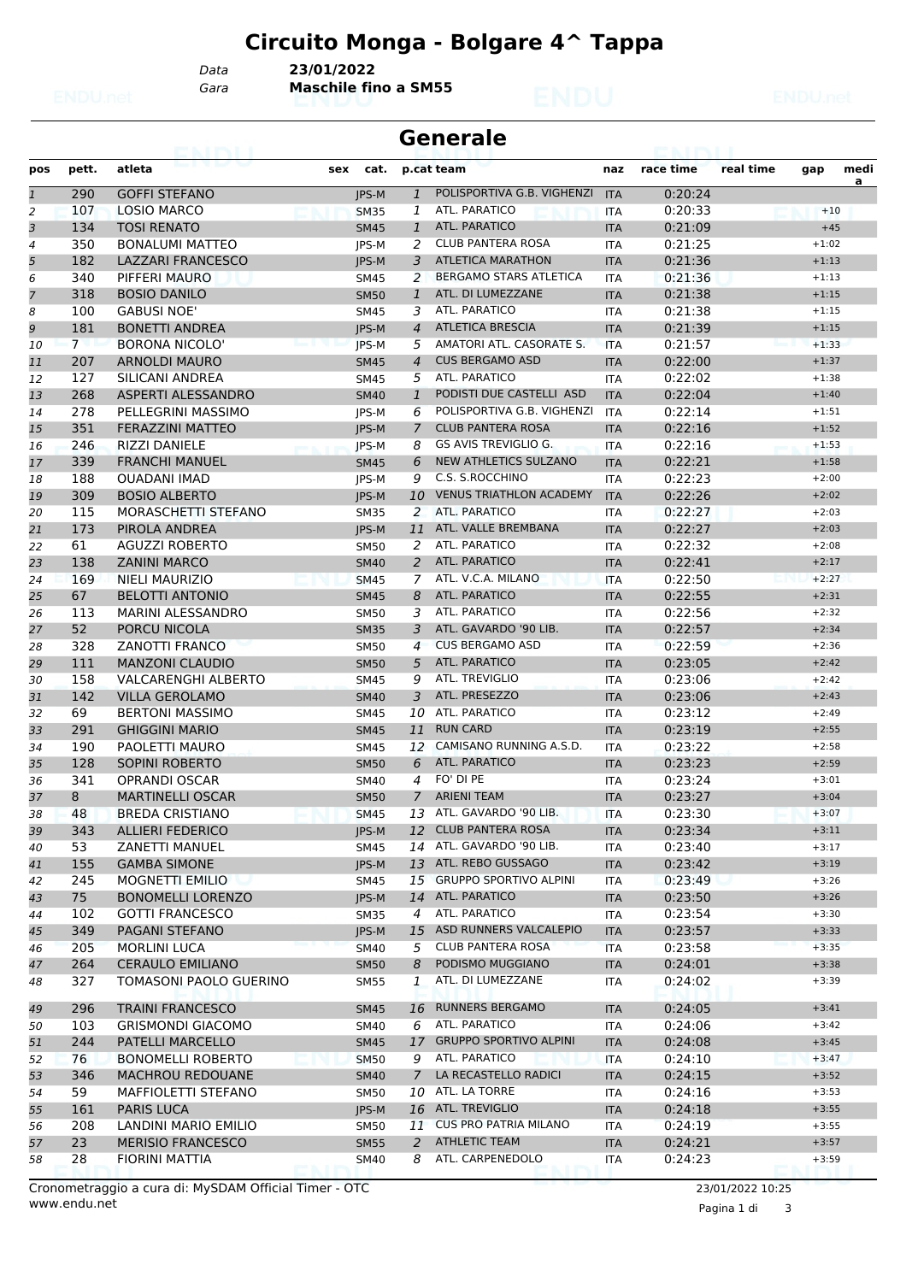## **Circuito Monga - Bolgare 4^ Tappa**

*Gara* **Maschile fino a SM55** *Data* **23/01/2022**

|                | <b>Generale</b> |                            |              |                |                                |            |           |           |         |           |  |  |
|----------------|-----------------|----------------------------|--------------|----------------|--------------------------------|------------|-----------|-----------|---------|-----------|--|--|
| pos            | pett.           | atleta                     | cat.<br>sex  |                | p.cat team                     | naz        | race time | real time | gap     | medi<br>a |  |  |
| $\mathbf{1}$   | 290             | <b>GOFFI STEFANO</b>       | <b>IPS-M</b> | $\mathbf{1}$   | POLISPORTIVA G.B. VIGHENZI     | <b>ITA</b> | 0:20:24   |           |         |           |  |  |
| 2              | 107             | <b>LOSIO MARCO</b>         | <b>SM35</b>  | 1              | ATL. PARATICO                  | <b>ITA</b> | 0:20:33   |           | $+10$   |           |  |  |
| 3              | 134             | <b>TOSI RENATO</b>         | <b>SM45</b>  | 1              | ATL. PARATICO                  | <b>ITA</b> | 0:21:09   |           | $+45$   |           |  |  |
| 4              | 350             | <b>BONALUMI MATTEO</b>     | JPS-M        | 2              | <b>CLUB PANTERA ROSA</b>       | <b>ITA</b> | 0:21:25   |           | $+1:02$ |           |  |  |
| 5              | 182             | <b>LAZZARI FRANCESCO</b>   | <b>IPS-M</b> | 3              | <b>ATLETICA MARATHON</b>       | <b>ITA</b> | 0:21:36   |           | $+1:13$ |           |  |  |
| 6              | 340             | PIFFERI MAURO              | <b>SM45</b>  | 2              | <b>BERGAMO STARS ATLETICA</b>  | <b>ITA</b> | 0:21:36   |           | $+1:13$ |           |  |  |
| $\overline{7}$ | 318             | <b>BOSIO DANILO</b>        | <b>SM50</b>  | $\mathbf{1}$   | ATL, DI LUMEZZANE              | <b>ITA</b> | 0:21:38   |           | $+1:15$ |           |  |  |
| 8              | 100             | <b>GABUSI NOE'</b>         | <b>SM45</b>  | 3              | ATL. PARATICO                  | <b>ITA</b> | 0:21:38   |           | $+1:15$ |           |  |  |
| 9              | 181             | <b>BONETTI ANDREA</b>      | <b>IPS-M</b> | $\overline{4}$ | <b>ATLETICA BRESCIA</b>        | <b>ITA</b> | 0:21:39   |           | $+1:15$ |           |  |  |
| 10             | $7^{\circ}$     | BORONA NICOLO'             | JPS-M        | 5              | AMATORI ATL. CASORATE S.       | <b>ITA</b> | 0:21:57   |           | $+1:33$ |           |  |  |
| 11             | 207             | <b>ARNOLDI MAURO</b>       | <b>SM45</b>  | $\overline{4}$ | <b>CUS BERGAMO ASD</b>         | <b>ITA</b> | 0:22:00   |           | $+1:37$ |           |  |  |
| 12             | 127             | SILICANI ANDREA            | <b>SM45</b>  | 5              | <b>ATL. PARATICO</b>           | <b>ITA</b> | 0:22:02   |           | $+1:38$ |           |  |  |
| 13             | 268             | ASPERTI ALESSANDRO         | <b>SM40</b>  | 1              | PODISTI DUE CASTELLI ASD       | <b>ITA</b> | 0:22:04   |           | $+1:40$ |           |  |  |
| 14             | 278             | PELLEGRINI MASSIMO         | <b>IPS-M</b> | 6              | POLISPORTIVA G.B. VIGHENZI     | <b>ITA</b> | 0:22:14   |           | $+1:51$ |           |  |  |
| 15             | 351             | <b>FERAZZINI MATTEO</b>    | <b>IPS-M</b> | $\overline{7}$ | <b>CLUB PANTERA ROSA</b>       | <b>ITA</b> | 0:22:16   |           | $+1:52$ |           |  |  |
| 16             | 246             | <b>RIZZI DANIELE</b>       | JPS-M        | 8              | <b>GS AVIS TREVIGLIO G.</b>    | <b>ITA</b> | 0:22:16   |           | $+1:53$ |           |  |  |
| 17             | 339             | <b>FRANCHI MANUEL</b>      | <b>SM45</b>  | 6              | <b>NEW ATHLETICS SULZANO</b>   | <b>ITA</b> | 0:22:21   |           | $+1:58$ |           |  |  |
| 18             | 188             | <b>OUADANI IMAD</b>        | <b>IPS-M</b> | 9              | C.S. S.ROCCHINO                | <b>ITA</b> | 0:22:23   |           | $+2:00$ |           |  |  |
| 19             | 309             | <b>BOSIO ALBERTO</b>       | JPS-M        | 10             | <b>VENUS TRIATHLON ACADEMY</b> | <b>ITA</b> | 0:22:26   |           | $+2:02$ |           |  |  |
|                | 115             | MORASCHETTI STEFANO        |              | 2              | ATL. PARATICO                  |            | 0:22:27   |           | $+2:03$ |           |  |  |
| 20             | 173             |                            | <b>SM35</b>  |                | ATL. VALLE BREMBANA            | <b>ITA</b> | 0:22:27   |           | $+2:03$ |           |  |  |
| 21             |                 | PIROLA ANDREA              | <b>IPS-M</b> | 11             | <b>ATL. PARATICO</b>           | <b>ITA</b> |           |           |         |           |  |  |
| 22             | 61              | <b>AGUZZI ROBERTO</b>      | <b>SM50</b>  | 2              |                                | <b>ITA</b> | 0:22:32   |           | $+2:08$ |           |  |  |
| 23             | 138             | <b>ZANINI MARCO</b>        | <b>SM40</b>  | 2              | <b>ATL. PARATICO</b>           | <b>ITA</b> | 0:22:41   |           | $+2:17$ |           |  |  |
| 24             | 169             | <b>NIELI MAURIZIO</b>      | <b>SM45</b>  | 7              | ATL. V.C.A. MILANO             | <b>ITA</b> | 0:22:50   |           | $+2:27$ |           |  |  |
| 25             | 67              | <b>BELOTTI ANTONIO</b>     | <b>SM45</b>  | 8              | ATL. PARATICO                  | <b>ITA</b> | 0:22:55   |           | $+2:31$ |           |  |  |
| 26             | 113             | <b>MARINI ALESSANDRO</b>   | <b>SM50</b>  | 3              | ATL. PARATICO                  | <b>ITA</b> | 0:22:56   |           | $+2:32$ |           |  |  |
| 27             | 52              | PORCU NICOLA               | <b>SM35</b>  | 3              | ATL. GAVARDO '90 LIB.          | <b>ITA</b> | 0:22:57   |           | $+2:34$ |           |  |  |
| 28             | 328             | <b>ZANOTTI FRANCO</b>      | <b>SM50</b>  | $\overline{4}$ | <b>CUS BERGAMO ASD</b>         | <b>ITA</b> | 0:22:59   |           | $+2:36$ |           |  |  |
| 29             | 111             | <b>MANZONI CLAUDIO</b>     | <b>SM50</b>  | 5              | <b>ATL. PARATICO</b>           | <b>ITA</b> | 0:23:05   |           | $+2:42$ |           |  |  |
| 30             | 158             | <b>VALCARENGHI ALBERTO</b> | <b>SM45</b>  | 9              | <b>ATL. TREVIGLIO</b>          | <b>ITA</b> | 0:23:06   |           | $+2:42$ |           |  |  |
| 31             | 142             | <b>VILLA GEROLAMO</b>      | <b>SM40</b>  | 3              | ATL. PRESEZZO                  | <b>ITA</b> | 0:23:06   |           | $+2:43$ |           |  |  |
| 32             | 69              | <b>BERTONI MASSIMO</b>     | <b>SM45</b>  | 10             | ATL. PARATICO                  | <b>ITA</b> | 0:23:12   |           | $+2:49$ |           |  |  |
| 33             | 291             | <b>GHIGGINI MARIO</b>      | <b>SM45</b>  | 11             | <b>RUN CARD</b>                | <b>ITA</b> | 0:23:19   |           | $+2:55$ |           |  |  |
| 34             | 190             | PAOLETTI MAURO             | <b>SM45</b>  | 12             | CAMISANO RUNNING A.S.D.        | <b>ITA</b> | 0:23:22   |           | $+2:58$ |           |  |  |
| 35             | 128             | <b>SOPINI ROBERTO</b>      | <b>SM50</b>  | 6              | ATL. PARATICO                  | <b>ITA</b> | 0:23:23   |           | $+2:59$ |           |  |  |
| 36             | 341             | <b>OPRANDI OSCAR</b>       | <b>SM40</b>  | 4              | FO' DI PE                      | <b>ITA</b> | 0:23:24   |           | $+3:01$ |           |  |  |
| 37             | 8               | <b>MARTINELLI OSCAR</b>    | <b>SM50</b>  | $\mathcal{I}$  | <b>ARIENI TEAM</b>             | <b>ITA</b> | 0:23:27   |           | $+3:04$ |           |  |  |
| 38             | 48              | <b>BREDA CRISTIANO</b>     | <b>SM45</b>  |                | 13 ATL. GAVARDO '90 LIB.       | <b>ITA</b> | 0:23:30   |           | $+3:07$ |           |  |  |
| 39             | 343             | <b>ALLIERI FEDERICO</b>    | JPS-M        |                | 12 CLUB PANTERA ROSA           | <b>ITA</b> | 0:23:34   |           | $+3:11$ |           |  |  |
| 40             | 53              | <b>ZANETTI MANUEL</b>      | <b>SM45</b>  | 14             | ATL. GAVARDO '90 LIB.          | ITA        | 0:23:40   |           | $+3:17$ |           |  |  |
| 41             | 155             | <b>GAMBA SIMONE</b>        | JPS-M        |                | 13 ATL. REBO GUSSAGO           | <b>ITA</b> | 0:23:42   |           | $+3:19$ |           |  |  |
| 42             | 245             | MOGNETTI EMILIO            | SM45         |                | 15 GRUPPO SPORTIVO ALPINI      | ITA        | 0:23:49   |           | $+3:26$ |           |  |  |
| 43             | 75              | <b>BONOMELLI LORENZO</b>   | JPS-M        | 14             | ATL. PARATICO                  | <b>ITA</b> | 0:23:50   |           | $+3:26$ |           |  |  |
| 44             | 102             | <b>GOTTI FRANCESCO</b>     | <b>SM35</b>  | 4              | ATL. PARATICO                  | ITA        | 0:23:54   |           | $+3:30$ |           |  |  |
| 45             | 349             | PAGANI STEFANO             | JPS-M        | 15             | ASD RUNNERS VALCALEPIO         | <b>ITA</b> | 0:23:57   |           | $+3:33$ |           |  |  |
| 46             | 205             | <b>MORLINI LUCA</b>        | <b>SM40</b>  | 5              | <b>CLUB PANTERA ROSA</b>       | <b>ITA</b> | 0:23:58   |           | $+3:35$ |           |  |  |
| 47             | 264             | <b>CERAULO EMILIANO</b>    | <b>SM50</b>  | 8              | PODISMO MUGGIANO               | <b>ITA</b> | 0:24:01   |           | $+3:38$ |           |  |  |
| 48             | 327             | TOMASONI PAOLO GUERINO     | <b>SM55</b>  | 1              | ATL. DI LUMEZZANE              | ITA        | 0:24:02   |           | $+3:39$ |           |  |  |
| 49             | 296             | <b>TRAINI FRANCESCO</b>    | <b>SM45</b>  | 16             | <b>RUNNERS BERGAMO</b>         | <b>ITA</b> | 0:24:05   |           | $+3:41$ |           |  |  |
| 50             | 103             | <b>GRISMONDI GIACOMO</b>   | <b>SM40</b>  | 6              | ATL. PARATICO                  | ITA        | 0:24:06   |           | $+3:42$ |           |  |  |
| 51             | 244             | PATELLI MARCELLO           | <b>SM45</b>  | 17             | <b>GRUPPO SPORTIVO ALPINI</b>  | <b>ITA</b> | 0:24:08   |           | $+3:45$ |           |  |  |
| 52             | 76              | <b>BONOMELLI ROBERTO</b>   | <b>SM50</b>  | 9              | ATL. PARATICO                  | <b>ITA</b> | 0:24:10   |           | $+3:47$ |           |  |  |
| 53             | 346             | <b>MACHROU REDOUANE</b>    | <b>SM40</b>  | $7^{\circ}$    | LA RECASTELLO RADICI           | <b>ITA</b> | 0:24:15   |           | $+3:52$ |           |  |  |
| 54             | 59              | MAFFIOLETTI STEFANO        | <b>SM50</b>  |                | 10 ATL. LA TORRE               | ITA        | 0:24:16   |           | $+3:53$ |           |  |  |
| 55             | 161             | PARIS LUCA                 | JPS-M        |                | 16 ATL. TREVIGLIO              | <b>ITA</b> | 0:24:18   |           | $+3:55$ |           |  |  |
| 56             | 208             | LANDINI MARIO EMILIO       | <b>SM50</b>  | 11             | <b>CUS PRO PATRIA MILANO</b>   | ITA        | 0:24:19   |           | $+3:55$ |           |  |  |
| 57             | 23              | <b>MERISIO FRANCESCO</b>   | <b>SM55</b>  | 2              | <b>ATHLETIC TEAM</b>           | <b>ITA</b> | 0:24:21   |           | $+3:57$ |           |  |  |
| 58             | 28              | <b>FIORINI MATTIA</b>      | <b>SM40</b>  | 8              | ATL. CARPENEDOLO               | ITA        | 0:24:23   |           | $+3:59$ |           |  |  |

www.endu.net Cronometraggio a cura di: MySDAM Official Timer - OTC 23/01/2022 10:25

Pagina 1 di 3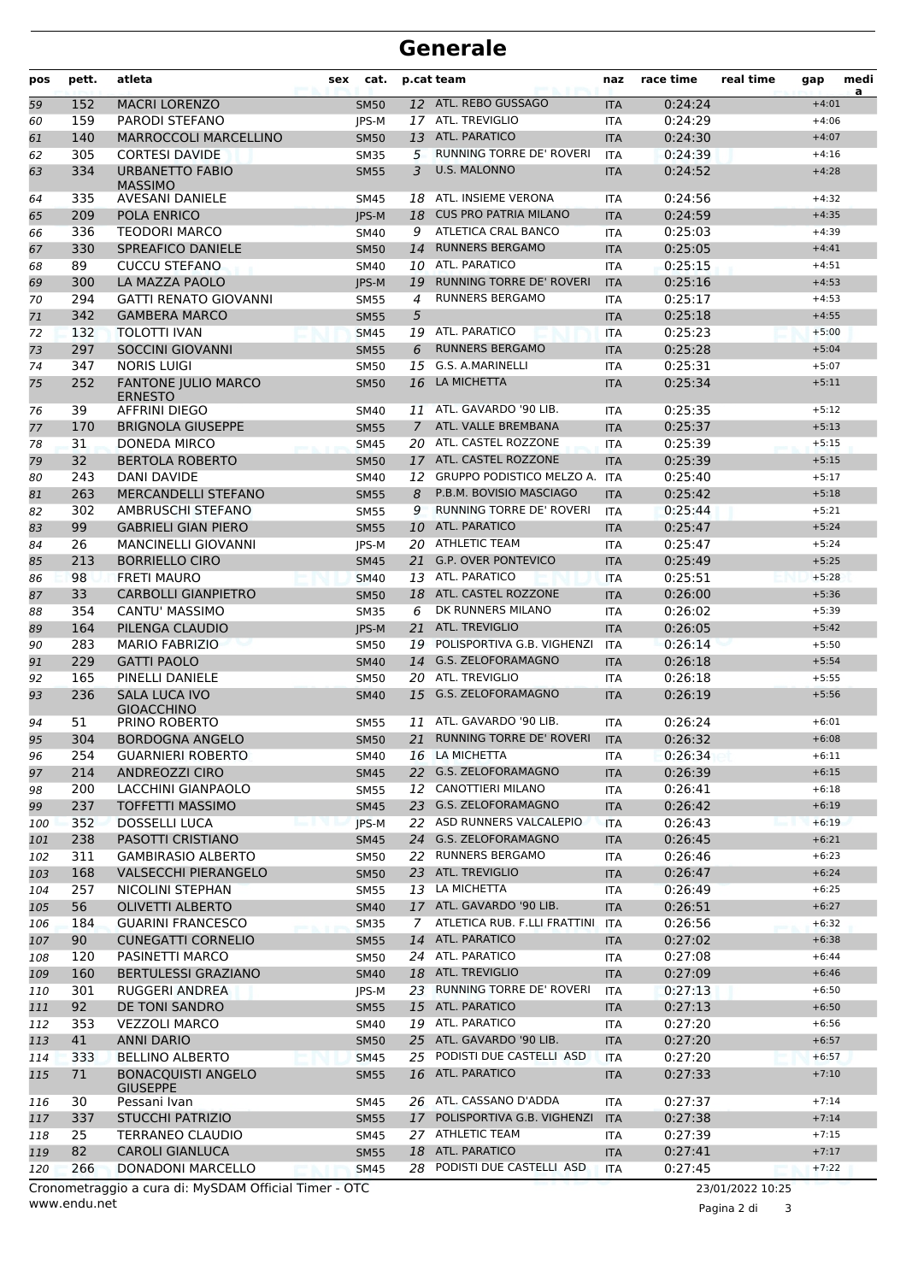| pos | pett. | atleta                                       | sex | cat.         |                | p.cat team                       | naz        | race time | real time | gap     | medi<br>a |
|-----|-------|----------------------------------------------|-----|--------------|----------------|----------------------------------|------------|-----------|-----------|---------|-----------|
| 59  | 152   | <b>MACRI LORENZO</b>                         |     | <b>SM50</b>  |                | 12 ATL. REBO GUSSAGO             | <b>ITA</b> | 0:24:24   |           | $+4:01$ |           |
| 60  | 159   | <b>PARODI STEFANO</b>                        |     | <b>IPS-M</b> |                | 17 ATL. TREVIGLIO                | <b>ITA</b> | 0:24:29   |           | $+4:06$ |           |
| 61  | 140   | <b>MARROCCOLI MARCELLINO</b>                 |     | <b>SM50</b>  | 13             | ATL. PARATICO                    | <b>ITA</b> | 0:24:30   |           | $+4:07$ |           |
| 62  | 305   | <b>CORTESI DAVIDE</b>                        |     | <b>SM35</b>  | 5              | <b>RUNNING TORRE DE' ROVERI</b>  | <b>ITA</b> | 0:24:39   |           | $+4:16$ |           |
| 63  | 334   | <b>URBANETTO FABIO</b><br><b>MASSIMO</b>     |     | <b>SM55</b>  | 3              | U.S. MALONNO                     | <b>ITA</b> | 0:24:52   |           | $+4:28$ |           |
| 64  | 335   | AVESANI DANIELE                              |     | <b>SM45</b>  | 18             | ATL. INSIEME VERONA              | <b>ITA</b> | 0:24:56   |           | $+4:32$ |           |
| 65  | 209   | POLA ENRICO                                  |     | JPS-M        | 18             | <b>CUS PRO PATRIA MILANO</b>     | <b>ITA</b> | 0:24:59   |           | $+4:35$ |           |
| 66  | 336   | <b>TEODORI MARCO</b>                         |     | SM40         | 9              | ATLETICA CRAL BANCO              | <b>ITA</b> | 0:25:03   |           | $+4:39$ |           |
| 67  | 330   | <b>SPREAFICO DANIELE</b>                     |     | <b>SM50</b>  | 14             | <b>RUNNERS BERGAMO</b>           | <b>ITA</b> | 0:25:05   |           | $+4:41$ |           |
| 68  | 89    | <b>CUCCU STEFANO</b>                         |     | <b>SM40</b>  |                | 10 ATL. PARATICO                 | <b>ITA</b> | 0:25:15   |           | $+4:51$ |           |
| 69  | 300   | LA MAZZA PAOLO                               |     | <b>IPS-M</b> | 19             | <b>RUNNING TORRE DE' ROVERI</b>  | <b>ITA</b> | 0:25:16   |           | $+4:53$ |           |
| 70  | 294   | <b>GATTI RENATO GIOVANNI</b>                 |     | <b>SM55</b>  | 4              | <b>RUNNERS BERGAMO</b>           | <b>ITA</b> | 0:25:17   |           | $+4:53$ |           |
| 71  | 342   | <b>GAMBERA MARCO</b>                         |     | <b>SM55</b>  | 5              |                                  | <b>ITA</b> | 0:25:18   |           | $+4:55$ |           |
| 72  | 132   | <b>TOLOTTI IVAN</b>                          |     | <b>SM45</b>  |                | 19 ATL. PARATICO                 | <b>ITA</b> | 0:25:23   |           | $+5:00$ |           |
| 73  | 297   | <b>SOCCINI GIOVANNI</b>                      |     | <b>SM55</b>  | 6              | <b>RUNNERS BERGAMO</b>           | <b>ITA</b> | 0:25:28   |           | $+5:04$ |           |
| 74  | 347   | <b>NORIS LUIGI</b>                           |     | <b>SM50</b>  | 15             | G.S. A.MARINELLI                 | <b>ITA</b> | 0:25:31   |           | $+5:07$ |           |
| 75  | 252   | <b>FANTONE JULIO MARCO</b><br><b>ERNESTO</b> |     | <b>SM50</b>  | 16             | LA MICHETTA                      | <b>ITA</b> | 0:25:34   |           | $+5:11$ |           |
| 76  | 39    | AFFRINI DIEGO                                |     | <b>SM40</b>  | 11             | ATL. GAVARDO '90 LIB.            | <b>ITA</b> | 0:25:35   |           | $+5:12$ |           |
| 77  | 170   | <b>BRIGNOLA GIUSEPPE</b>                     |     | <b>SM55</b>  | $\overline{7}$ | ATL. VALLE BREMBANA              | <b>ITA</b> | 0:25:37   |           | $+5:13$ |           |
| 78  | 31    | DONEDA MIRCO                                 |     | <b>SM45</b>  |                | 20 ATL. CASTEL ROZZONE           | <b>ITA</b> | 0:25:39   |           | $+5:15$ |           |
| 79  | 32    | <b>BERTOLA ROBERTO</b>                       |     | <b>SM50</b>  | 17             | ATL. CASTEL ROZZONE              | <b>ITA</b> | 0:25:39   |           | $+5:15$ |           |
| 80  | 243   | DANI DAVIDE                                  |     | <b>SM40</b>  | 12             | <b>GRUPPO PODISTICO MELZO A.</b> | <b>ITA</b> | 0:25:40   |           | $+5:17$ |           |
| 81  | 263   | <b>MERCANDELLI STEFANO</b>                   |     | <b>SM55</b>  | 8              | P.B.M. BOVISIO MASCIAGO          | <b>ITA</b> | 0:25:42   |           | $+5:18$ |           |
| 82  | 302   | AMBRUSCHI STEFANO                            |     | <b>SM55</b>  | 9              | RUNNING TORRE DE' ROVERI         | <b>ITA</b> | 0:25:44   |           | $+5:21$ |           |
| 83  | 99    | <b>GABRIELI GIAN PIERO</b>                   |     | <b>SM55</b>  | 10             | ATL. PARATICO                    | <b>ITA</b> | 0:25:47   |           | $+5:24$ |           |
| 84  | 26    | <b>MANCINELLI GIOVANNI</b>                   |     | JPS-M        |                | 20 ATHLETIC TEAM                 | <b>ITA</b> | 0:25:47   |           | $+5:24$ |           |
| 85  | 213   | <b>BORRIELLO CIRO</b>                        |     | <b>SM45</b>  | 21             | <b>G.P. OVER PONTEVICO</b>       | <b>ITA</b> | 0:25:49   |           | $+5:25$ |           |
| 86  | 98    | <b>FRETI MAURO</b>                           |     | <b>SM40</b>  |                | 13 ATL. PARATICO                 | <b>ITA</b> | 0:25:51   |           | $+5:28$ |           |
| 87  | 33    | <b>CARBOLLI GIANPIETRO</b>                   |     | <b>SM50</b>  |                | 18 ATL. CASTEL ROZZONE           | <b>ITA</b> | 0:26:00   |           | $+5:36$ |           |
| 88  | 354   | CANTU' MASSIMO                               |     | <b>SM35</b>  | 6              | DK RUNNERS MILANO                | <b>ITA</b> | 0:26:02   |           | $+5:39$ |           |
| 89  | 164   | PILENGA CLAUDIO                              |     | <b>IPS-M</b> | 21             | <b>ATL. TREVIGLIO</b>            | <b>ITA</b> | 0:26:05   |           | $+5:42$ |           |
| 90  | 283   | <b>MARIO FABRIZIO</b>                        |     | <b>SM50</b>  | 19             | POLISPORTIVA G.B. VIGHENZI       | <b>ITA</b> | 0:26:14   |           | $+5:50$ |           |
| 91  | 229   | <b>GATTI PAOLO</b>                           |     | <b>SM40</b>  | 14             | <b>G.S. ZELOFORAMAGNO</b>        | <b>ITA</b> | 0:26:18   |           | $+5:54$ |           |
| 92  | 165   | PINELLI DANIELE                              |     | <b>SM50</b>  |                | 20 ATL. TREVIGLIO                | <b>ITA</b> | 0:26:18   |           | $+5:55$ |           |
| 93  | 236   | <b>SALA LUCA IVO</b><br><b>GIOACCHINO</b>    |     | <b>SM40</b>  | 15             | G.S. ZELOFORAMAGNO               | <b>ITA</b> | 0:26:19   |           | $+5:56$ |           |
| 94  | 51    | PRINO ROBERTO                                |     | <b>SM55</b>  | 11             | ATL. GAVARDO '90 LIB.            | <b>ITA</b> | 0:26:24   |           | $+6:01$ |           |
| 95  | 304   | <b>BORDOGNA ANGELO</b>                       |     | <b>SM50</b>  | 21             | <b>RUNNING TORRE DE' ROVERI</b>  | <b>ITA</b> | 0:26:32   |           | $+6:08$ |           |
| 96  | 254   | <b>GUARNIERI ROBERTO</b>                     |     | <b>SM40</b>  |                | 16 LA MICHETTA                   | ITA        | 0:26:34   |           | $+6:11$ |           |
| 97  | 214   | <b>ANDREOZZI CIRO</b>                        |     | <b>SM45</b>  |                | 22 G.S. ZELOFORAMAGNO            | <b>ITA</b> | 0:26:39   |           | $+6:15$ |           |
| 98  | 200   | LACCHINI GIANPAOLO                           |     | <b>SM55</b>  |                | 12 CANOTTIERI MILANO             | <b>ITA</b> | 0:26:41   |           | $+6:18$ |           |
| 99  | 237   | <b>TOFFETTI MASSIMO</b>                      |     | <b>SM45</b>  |                | 23 G.S. ZELOFORAMAGNO            | <b>ITA</b> | 0:26:42   |           | $+6:19$ |           |
| 100 | 352   | <b>DOSSELLI LUCA</b>                         |     | JPS-M        |                | 22 ASD RUNNERS VALCALEPIO        | <b>ITA</b> | 0:26:43   |           | $+6:19$ |           |
| 101 | 238   | PASOTTI CRISTIANO                            |     | <b>SM45</b>  |                | 24 G.S. ZELOFORAMAGNO            | <b>ITA</b> | 0:26:45   |           | $+6:21$ |           |
| 102 | 311   | <b>GAMBIRASIO ALBERTO</b>                    |     | <b>SM50</b>  |                | 22 RUNNERS BERGAMO               | ITA        | 0:26:46   |           | $+6:23$ |           |
| 103 | 168   | <b>VALSECCHI PIERANGELO</b>                  |     | <b>SM50</b>  |                | 23 ATL. TREVIGLIO                | <b>ITA</b> | 0:26:47   |           | $+6:24$ |           |
| 104 | 257   | NICOLINI STEPHAN                             |     | <b>SM55</b>  |                | 13 LA MICHETTA                   | <b>ITA</b> | 0:26:49   |           | $+6:25$ |           |
| 105 | 56    | OLIVETTI ALBERTO                             |     | <b>SM40</b>  |                | 17 ATL. GAVARDO '90 LIB.         | <b>ITA</b> | 0:26:51   |           | $+6:27$ |           |
| 106 | 184   | <b>GUARINI FRANCESCO</b>                     |     | <b>SM35</b>  | 7              | ATLETICA RUB. F.LLI FRATTINI     | <b>ITA</b> | 0:26:56   |           | $+6:32$ |           |
| 107 | 90    | <b>CUNEGATTI CORNELIO</b>                    |     | <b>SM55</b>  |                | 14 ATL. PARATICO                 | <b>ITA</b> | 0:27:02   |           | $+6:38$ |           |
| 108 | 120   | PASINETTI MARCO                              |     | <b>SM50</b>  |                | 24 ATL. PARATICO                 | ITA        | 0:27:08   |           | $+6:44$ |           |
| 109 | 160   | <b>BERTULESSI GRAZIANO</b>                   |     | <b>SM40</b>  |                | 18 ATL. TREVIGLIO                | <b>ITA</b> | 0:27:09   |           | $+6:46$ |           |
| 110 | 301   | RUGGERI ANDREA                               |     | JPS-M        |                | 23 RUNNING TORRE DE' ROVERI      | <b>ITA</b> | 0:27:13   |           | $+6:50$ |           |
| 111 | 92    | DE TONI SANDRO                               |     | <b>SM55</b>  |                | 15 ATL. PARATICO                 | <b>ITA</b> | 0:27:13   |           | $+6:50$ |           |
| 112 | 353   | <b>VEZZOLI MARCO</b>                         |     | SM40         |                | 19 ATL. PARATICO                 | <b>ITA</b> | 0:27:20   |           | $+6:56$ |           |
| 113 | 41    | <b>ANNI DARIO</b>                            |     | <b>SM50</b>  |                | 25 ATL. GAVARDO '90 LIB.         | <b>ITA</b> | 0:27:20   |           | $+6:57$ |           |
| 114 | 333   | <b>BELLINO ALBERTO</b>                       |     | <b>SM45</b>  |                | 25 PODISTI DUE CASTELLI ASD      | <b>ITA</b> | 0:27:20   |           | $+6:57$ |           |
| 115 | 71    | <b>BONACQUISTI ANGELO</b><br><b>GIUSEPPE</b> |     | <b>SM55</b>  |                | 16 ATL. PARATICO                 | <b>ITA</b> | 0:27:33   |           | $+7:10$ |           |
| 116 | 30    | Pessani Ivan                                 |     | SM45         |                | 26 ATL. CASSANO D'ADDA           | ITA        | 0:27:37   |           | $+7:14$ |           |
| 117 | 337   | <b>STUCCHI PATRIZIO</b>                      |     | <b>SM55</b>  |                | 17 POLISPORTIVA G.B. VIGHENZI    | <b>ITA</b> | 0:27:38   |           | $+7:14$ |           |
| 118 | 25    | <b>TERRANEO CLAUDIO</b>                      |     | SM45         |                | 27 ATHLETIC TEAM                 | <b>ITA</b> | 0:27:39   |           | $+7:15$ |           |
| 119 | 82    | <b>CAROLI GIANLUCA</b>                       |     | <b>SM55</b>  |                | 18 ATL. PARATICO                 | <b>ITA</b> | 0:27:41   |           | $+7:17$ |           |
| 120 | 266   | DONADONI MARCELLO                            |     | <b>SM45</b>  |                | 28 PODISTI DUE CASTELLI ASD      | <b>ITA</b> | 0:27:45   |           | $+7:22$ |           |

www.endu.net Cronometraggio a cura di: MySDAM Official Timer - OTC 23/01/2022 10:25

Pagina 2 di 3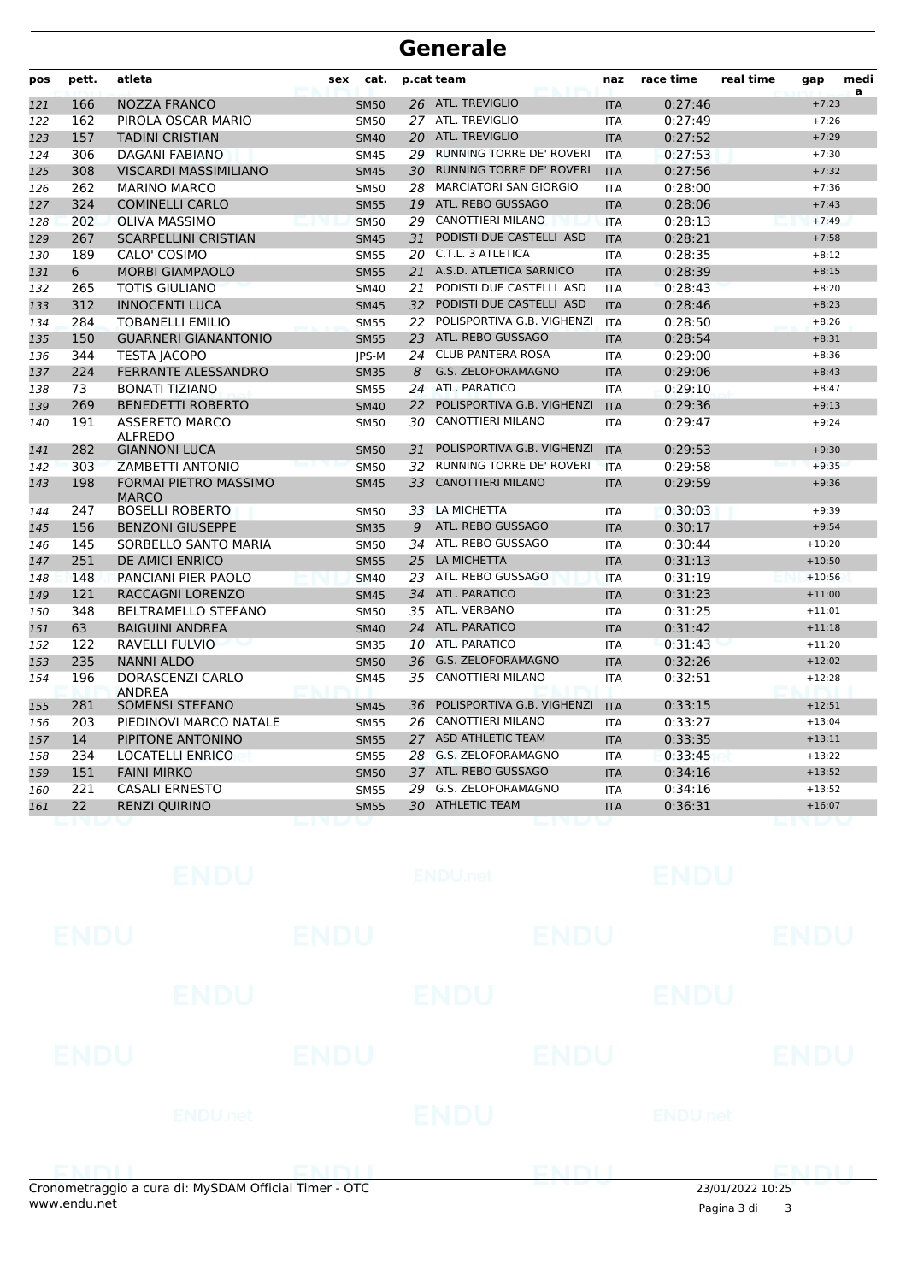| pos | pett. | atleta                                       | sex<br>cat. |    | p.cat team                      | naz        | race time | real time | gap      | medi |
|-----|-------|----------------------------------------------|-------------|----|---------------------------------|------------|-----------|-----------|----------|------|
| 121 | 166   | <b>NOZZA FRANCO</b>                          | <b>SM50</b> | 26 | <b>ATL. TREVIGLIO</b>           | <b>ITA</b> | 0:27:46   |           | $+7:23$  | a    |
| 122 | 162   | PIROLA OSCAR MARIO                           | <b>SM50</b> |    | 27 ATL. TREVIGLIO               | <b>ITA</b> | 0:27:49   |           | $+7:26$  |      |
| 123 | 157   | <b>TADINI CRISTIAN</b>                       | <b>SM40</b> |    | 20 ATL. TREVIGLIO               | <b>ITA</b> | 0:27:52   |           | $+7:29$  |      |
| 124 | 306   | <b>DAGANI FABIANO</b>                        | <b>SM45</b> | 29 | <b>RUNNING TORRE DE' ROVERI</b> | <b>ITA</b> | 0:27:53   |           | $+7:30$  |      |
| 125 | 308   | <b>VISCARDI MASSIMILIANO</b>                 | <b>SM45</b> | 30 | RUNNING TORRE DE' ROVERI        | <b>ITA</b> | 0:27:56   |           | $+7:32$  |      |
| 126 | 262   | <b>MARINO MARCO</b>                          | <b>SM50</b> | 28 | <b>MARCIATORI SAN GIORGIO</b>   | <b>ITA</b> | 0:28:00   |           | $+7:36$  |      |
| 127 | 324   | <b>COMINELLI CARLO</b>                       | <b>SM55</b> | 19 | ATL. REBO GUSSAGO               | <b>ITA</b> | 0:28:06   |           | $+7:43$  |      |
| 128 | 202   | <b>OLIVA MASSIMO</b>                         | <b>SM50</b> | 29 | CANOTTIERI MILANO               | <b>ITA</b> | 0:28:13   |           | $+7:49$  |      |
| 129 | 267   | <b>SCARPELLINI CRISTIAN</b>                  | <b>SM45</b> | 31 | PODISTI DUE CASTELLI ASD        | <b>ITA</b> | 0:28:21   |           | $+7:58$  |      |
| 130 | 189   | CALO' COSIMO                                 | <b>SM55</b> | 20 | C.T.L. 3 ATLETICA               | <b>ITA</b> | 0:28:35   |           | $+8:12$  |      |
| 131 | 6     | <b>MORBI GIAMPAOLO</b>                       | <b>SM55</b> | 21 | A.S.D. ATLETICA SARNICO         | <b>ITA</b> | 0:28:39   |           | $+8:15$  |      |
| 132 | 265   | <b>TOTIS GIULIANO</b>                        | <b>SM40</b> | 21 | PODISTI DUE CASTELLI ASD        | <b>ITA</b> | 0:28:43   |           | $+8:20$  |      |
| 133 | 312   | <b>INNOCENTI LUCA</b>                        | <b>SM45</b> | 32 | PODISTI DUE CASTELLI ASD        | <b>ITA</b> | 0:28:46   |           | $+8:23$  |      |
| 134 | 284   | TOBANELLI EMILIO                             | <b>SM55</b> | 22 | POLISPORTIVA G.B. VIGHENZI      | <b>ITA</b> | 0:28:50   |           | $+8:26$  |      |
| 135 | 150   | <b>GUARNERI GIANANTONIO</b>                  | <b>SM55</b> | 23 | ATL. REBO GUSSAGO               | <b>ITA</b> | 0:28:54   |           | $+8:31$  |      |
| 136 | 344   | <b>TESTA JACOPO</b>                          | JPS-M       | 24 | <b>CLUB PANTERA ROSA</b>        | <b>ITA</b> | 0:29:00   |           | $+8:36$  |      |
| 137 | 224   | <b>FERRANTE ALESSANDRO</b>                   | <b>SM35</b> | 8  | G.S. ZELOFORAMAGNO              | <b>ITA</b> | 0:29:06   |           | $+8:43$  |      |
| 138 | 73    | <b>BONATI TIZIANO</b>                        | <b>SM55</b> | 24 | ATL, PARATICO                   | <b>ITA</b> | 0:29:10   |           | $+8:47$  |      |
| 139 | 269   | <b>BENEDETTI ROBERTO</b>                     | <b>SM40</b> | 22 | POLISPORTIVA G.B. VIGHENZI      | <b>ITA</b> | 0:29:36   |           | $+9:13$  |      |
| 140 | 191   | <b>ASSERETO MARCO</b><br><b>ALFREDO</b>      | <b>SM50</b> | 30 | <b>CANOTTIERI MILANO</b>        | <b>ITA</b> | 0:29:47   |           | $+9:24$  |      |
| 141 | 282   | <b>GIANNONI LUCA</b>                         | <b>SM50</b> | 31 | POLISPORTIVA G.B. VIGHENZI      | <b>ITA</b> | 0:29:53   |           | $+9:30$  |      |
| 142 | 303   | <b>ZAMBETTI ANTONIO</b>                      | <b>SM50</b> | 32 | <b>RUNNING TORRE DE' ROVERI</b> | <b>ITA</b> | 0:29:58   |           | $+9:35$  |      |
| 143 | 198   | <b>FORMAI PIETRO MASSIMO</b><br><b>MARCO</b> | <b>SM45</b> | 33 | <b>CANOTTIERI MILANO</b>        | <b>ITA</b> | 0:29:59   |           | $+9:36$  |      |
| 144 | 247   | <b>BOSELLI ROBERTO</b>                       | <b>SM50</b> | 33 | LA MICHETTA                     | <b>ITA</b> | 0:30:03   |           | $+9:39$  |      |
| 145 | 156   | <b>BENZONI GIUSEPPE</b>                      | <b>SM35</b> | 9  | ATL. REBO GUSSAGO               | <b>ITA</b> | 0:30:17   |           | $+9:54$  |      |
| 146 | 145   | SORBELLO SANTO MARIA                         | <b>SM50</b> |    | 34 ATL. REBO GUSSAGO            | <b>ITA</b> | 0:30:44   |           | $+10:20$ |      |
| 147 | 251   | DE AMICI ENRICO                              | <b>SM55</b> |    | 25 LA MICHETTA                  | <b>ITA</b> | 0:31:13   |           | $+10:50$ |      |
| 148 | 148   | PANCIANI PIER PAOLO                          | <b>SM40</b> |    | 23 ATL. REBO GUSSAGO            | <b>ITA</b> | 0:31:19   |           | $+10:56$ |      |
| 149 | 121   | RACCAGNI LORENZO                             | <b>SM45</b> |    | 34 ATL. PARATICO                | <b>ITA</b> | 0:31:23   |           | $+11:00$ |      |
| 150 | 348   | <b>BELTRAMELLO STEFANO</b>                   | <b>SM50</b> |    | 35 ATL. VERBANO                 | <b>ITA</b> | 0:31:25   |           | $+11:01$ |      |
| 151 | 63    | <b>BAIGUINI ANDREA</b>                       | <b>SM40</b> |    | 24 ATL. PARATICO                | <b>ITA</b> | 0:31:42   |           | $+11:18$ |      |
| 152 | 122   | RAVELLI FULVIO                               | <b>SM35</b> |    | 10 ATL. PARATICO                | <b>ITA</b> | 0:31:43   |           | $+11:20$ |      |
| 153 | 235   | <b>NANNI ALDO</b>                            | <b>SM50</b> | 36 | G.S. ZELOFORAMAGNO              | <b>ITA</b> | 0:32:26   |           | $+12:02$ |      |
| 154 | 196   | DORASCENZI CARLO<br><b>ANDREA</b>            | <b>SM45</b> | 35 | <b>CANOTTIERI MILANO</b>        | <b>ITA</b> | 0:32:51   |           | $+12:28$ |      |
| 155 | 281   | SOMENSI STEFANO                              | <b>SM45</b> | 36 | POLISPORTIVA G.B. VIGHENZI      | <b>ITA</b> | 0:33:15   |           | $+12:51$ |      |
| 156 | 203   | PIEDINOVI MARCO NATALE                       | <b>SM55</b> | 26 | CANOTTIERI MILANO               | <b>ITA</b> | 0:33:27   |           | $+13:04$ |      |
| 157 | 14    | PIPITONE ANTONINO                            | <b>SM55</b> | 27 | <b>ASD ATHLETIC TEAM</b>        | <b>ITA</b> | 0:33:35   |           | $+13:11$ |      |
| 158 | 234   | <b>LOCATELLI ENRICO</b>                      | <b>SM55</b> |    | 28 G.S. ZELOFORAMAGNO           | <b>ITA</b> | 0:33:45   |           | $+13:22$ |      |
| 159 | 151   | <b>FAINI MIRKO</b>                           | <b>SM50</b> | 37 | ATL. REBO GUSSAGO               | <b>ITA</b> | 0:34:16   |           | $+13:52$ |      |
| 160 | 221   | <b>CASALI ERNESTO</b>                        | <b>SM55</b> | 29 | G.S. ZELOFORAMAGNO              | <b>ITA</b> | 0:34:16   |           | $+13:52$ |      |
| 161 | 22    | <b>RENZI QUIRINO</b>                         | <b>SM55</b> |    | 30 ATHLETIC TEAM                | <b>ITA</b> | 0:36:31   |           | $+16:07$ |      |
|     |       |                                              |             |    |                                 |            |           |           |          |      |

Cronometraggio a cura di: MySDAM Official Timer - OTC 23/01/2022 10:25

www.endu.net Pagina 3 di <sup>3</sup>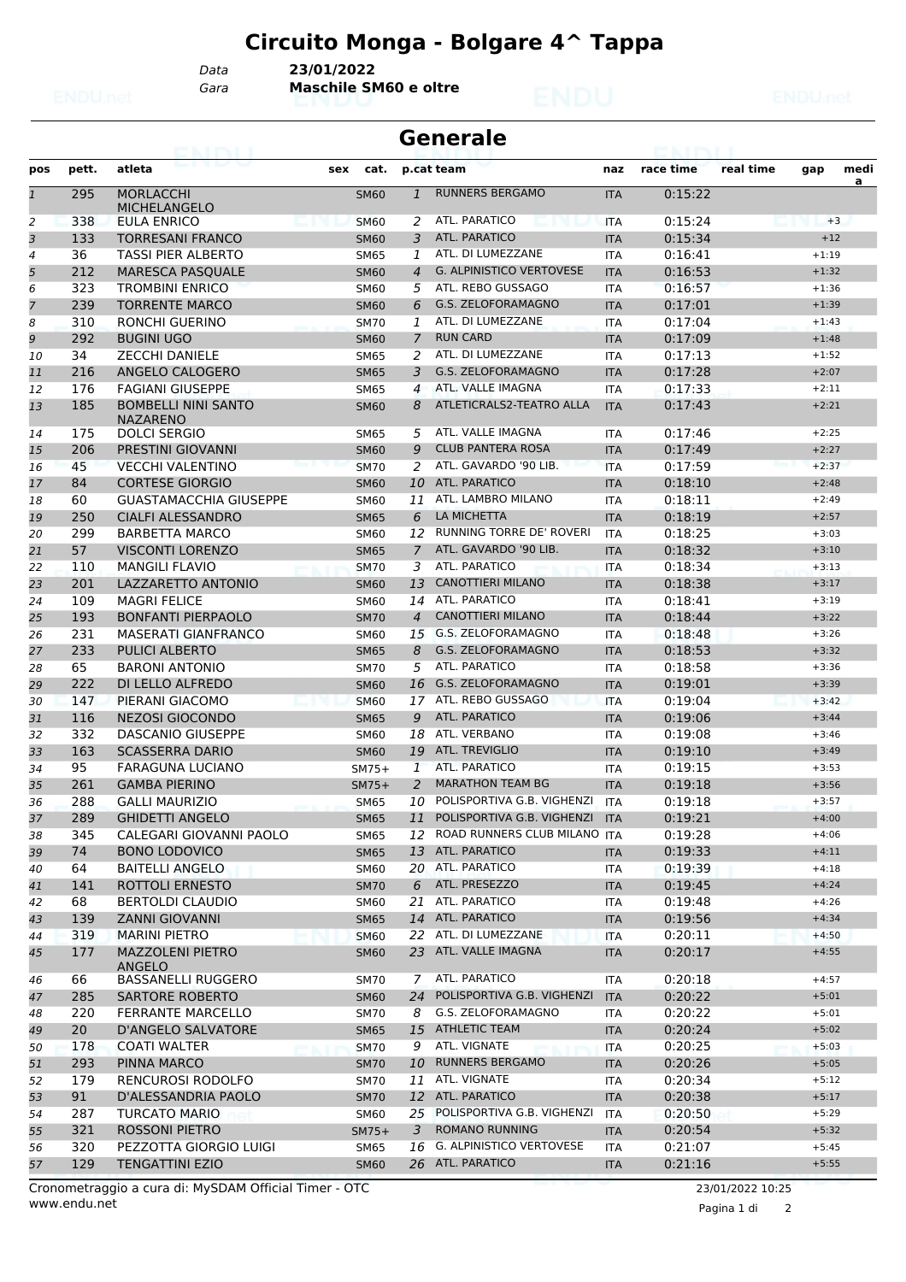## **Circuito Monga - Bolgare 4^ Tappa**

*Data* **23/01/2022**

*Gara* **Maschile SM60 e oltre**

| <b>Generale</b> |       |                                               |     |             |                |                                   |            |                    |           |         |           |
|-----------------|-------|-----------------------------------------------|-----|-------------|----------------|-----------------------------------|------------|--------------------|-----------|---------|-----------|
| pos             | pett. | atleta                                        | sex | cat.        |                | p.cat team                        | naz        | race time          | real time | gap     | medi<br>a |
| $\mathbf{1}$    | 295   | <b>MORLACCHI</b><br><b>MICHELANGELO</b>       |     | <b>SM60</b> | $\mathbf{1}$   | <b>RUNNERS BERGAMO</b>            | <b>ITA</b> | 0:15:22            |           |         |           |
| 2               | 338   | EULA ENRICO                                   |     | <b>SM60</b> | 2              | ATL. PARATICO                     | <b>ITA</b> | 0:15:24            |           |         | $+3$      |
| 3               | 133   | <b>TORRESANI FRANCO</b>                       |     | <b>SM60</b> | 3              | <b>ATL. PARATICO</b>              | <b>ITA</b> | 0:15:34            |           | $+12$   |           |
| 4               | 36    | <b>TASSI PIER ALBERTO</b>                     |     | <b>SM65</b> | 1              | ATL. DI LUMEZZANE                 | <b>ITA</b> | 0:16:41            |           | $+1:19$ |           |
| 5               | 212   | <b>MARESCA PASQUALE</b>                       |     | <b>SM60</b> | $\overline{4}$ | <b>G. ALPINISTICO VERTOVESE</b>   | <b>ITA</b> | 0:16:53            |           | $+1:32$ |           |
| 6               | 323   | <b>TROMBINI ENRICO</b>                        |     | <b>SM60</b> | 5              | ATL. REBO GUSSAGO                 | <b>ITA</b> | 0:16:57            |           | $+1:36$ |           |
| 7               | 239   | <b>TORRENTE MARCO</b>                         |     | <b>SM60</b> | 6              | <b>G.S. ZELOFORAMAGNO</b>         | <b>ITA</b> | 0:17:01            |           | $+1:39$ |           |
| 8               | 310   | RONCHI GUERINO                                |     | <b>SM70</b> | 1              | ATL. DI LUMEZZANE                 | <b>ITA</b> | 0:17:04            |           | $+1:43$ |           |
| 9               | 292   | <b>BUGINI UGO</b>                             |     | <b>SM60</b> | 7              | <b>RUN CARD</b>                   | <b>ITA</b> | 0:17:09            |           | $+1:48$ |           |
| 10              | 34    | <b>ZECCHI DANIELE</b>                         |     | <b>SM65</b> | 2              | ATL. DI LUMEZZANE                 | <b>ITA</b> | 0:17:13            |           | $+1:52$ |           |
| 11              | 216   | ANGELO CALOGERO                               |     | <b>SM65</b> | 3              | <b>G.S. ZELOFORAMAGNO</b>         | <b>ITA</b> | 0:17:28            |           | $+2:07$ |           |
| 12              | 176   | <b>FAGIANI GIUSEPPE</b>                       |     | <b>SM65</b> | $\overline{4}$ | ATL. VALLE IMAGNA                 | <b>ITA</b> | 0:17:33            |           | $+2:11$ |           |
| 13              | 185   | <b>BOMBELLI NINI SANTO</b><br><b>NAZARENO</b> |     | <b>SM60</b> | 8              | ATLETICRALS2-TEATRO ALLA          | <b>ITA</b> | 0:17:43            |           | $+2:21$ |           |
| 14              | 175   | <b>DOLCI SERGIO</b>                           |     | <b>SM65</b> | 5              | ATL. VALLE IMAGNA                 | <b>ITA</b> | 0:17:46            |           | $+2:25$ |           |
| 15              | 206   | <b>PRESTINI GIOVANNI</b>                      |     | <b>SM60</b> | 9              | <b>CLUB PANTERA ROSA</b>          | <b>ITA</b> | 0:17:49            |           | $+2:27$ |           |
| 16              | 45    | <b>VECCHI VALENTINO</b>                       |     | <b>SM70</b> | 2              | ATL. GAVARDO '90 LIB.             | <b>ITA</b> | 0:17:59            |           | $+2:37$ |           |
| 17              | 84    | <b>CORTESE GIORGIO</b>                        |     | <b>SM60</b> | 10             | <b>ATL, PARATICO</b>              | <b>ITA</b> | 0:18:10            |           | $+2:48$ |           |
| 18              | 60    | <b>GUASTAMACCHIA GIUSEPPE</b>                 |     | <b>SM60</b> | 11             | ATL. LAMBRO MILANO                | <b>ITA</b> | 0:18:11            |           | $+2:49$ |           |
| 19              | 250   | <b>CIALFI ALESSANDRO</b>                      |     | <b>SM65</b> | 6              | LA MICHETTA                       | <b>ITA</b> | 0:18:19            |           | $+2:57$ |           |
| 20              | 299   | <b>BARBETTA MARCO</b>                         |     | SM60        | 12             | <b>RUNNING TORRE DE' ROVERI</b>   | <b>ITA</b> | 0:18:25            |           | $+3:03$ |           |
| 21              | 57    | <b>VISCONTI LORENZO</b>                       |     | <b>SM65</b> | $\overline{7}$ | ATL. GAVARDO '90 LIB.             | <b>ITA</b> | 0:18:32            |           | $+3:10$ |           |
| 22              | 110   | <b>MANGILI FLAVIO</b>                         |     | <b>SM70</b> | 3              | ATL. PARATICO                     | <b>ITA</b> | 0:18:34            |           | $+3:13$ |           |
| 23              | 201   | LAZZARETTO ANTONIO                            |     | <b>SM60</b> | 13             | <b>CANOTTIERI MILANO</b>          | <b>ITA</b> | 0:18:38            |           | $+3:17$ |           |
| 24              | 109   | <b>MAGRI FELICE</b>                           |     | <b>SM60</b> | 14             | ATL. PARATICO                     | ITA        | 0:18:41            |           | $+3:19$ |           |
| 25              | 193   | <b>BONFANTI PIERPAOLO</b>                     |     | <b>SM70</b> | $\overline{4}$ | <b>CANOTTIERI MILANO</b>          | <b>ITA</b> | 0:18:44            |           | $+3:22$ |           |
| 26              | 231   | <b>MASERATI GIANFRANCO</b>                    |     | <b>SM60</b> | 15             | G.S. ZELOFORAMAGNO                | <b>ITA</b> | 0:18:48            |           | $+3:26$ |           |
| 27              | 233   | <b>PULICI ALBERTO</b>                         |     | <b>SM65</b> | 8              | <b>G.S. ZELOFORAMAGNO</b>         | <b>ITA</b> | 0:18:53            |           | $+3:32$ |           |
| 28              | 65    | <b>BARONI ANTONIO</b>                         |     | <b>SM70</b> | 5              | ATL. PARATICO                     | <b>ITA</b> | 0:18:58            |           | $+3:36$ |           |
| 29              | 222   | DI LELLO ALFREDO                              |     | <b>SM60</b> | 16             | <b>G.S. ZELOFORAMAGNO</b>         | <b>ITA</b> | 0:19:01            |           | $+3:39$ |           |
|                 | 147   | PIERANI GIACOMO                               |     |             | 17             | ATL. REBO GUSSAGO                 |            | 0:19:04            |           | $+3:42$ |           |
| 30              |       |                                               |     | <b>SM60</b> |                | ATL. PARATICO                     | <b>ITA</b> |                    |           | $+3:44$ |           |
| 31              | 116   | <b>NEZOSI GIOCONDO</b>                        |     | <b>SM65</b> | 9              | ATL. VERBANO                      | <b>ITA</b> | 0:19:06<br>0:19:08 |           |         |           |
| 32              | 332   | <b>DASCANIO GIUSEPPE</b>                      |     | <b>SM60</b> | 18             |                                   | <b>ITA</b> |                    |           | $+3:46$ |           |
| 33              | 163   | <b>SCASSERRA DARIO</b>                        |     | <b>SM60</b> | 19             | <b>ATL. TREVIGLIO</b>             | <b>ITA</b> | 0:19:10            |           | $+3:49$ |           |
| 34              | 95    | <b>FARAGUNA LUCIANO</b>                       |     | $SM75+$     | $\mathbf{1}$   | <b>ATL, PARATICO</b>              | <b>ITA</b> | 0:19:15            |           | $+3:53$ |           |
| 35              | 261   | <b>GAMBA PIERINO</b>                          |     | $SM75+$     | 2              | <b>MARATHON TEAM BG</b>           | <b>ITA</b> | 0:19:18            |           | $+3:56$ |           |
| 36              | 288   | <b>GALLI MAURIZIO</b>                         |     | <b>SM65</b> | 10             | POLISPORTIVA G.B. VIGHENZI        | <b>ITA</b> | 0:19:18            |           | $+3:57$ |           |
| 37              | 289   | <b>GHIDETTI ANGELO</b>                        |     | <b>SM65</b> |                | 11 POLISPORTIVA G.B. VIGHENZI ITA |            | 0:19:21            |           | $+4:00$ |           |
| 38              | 345   | CALEGARI GIOVANNI PAOLO                       |     | SM65        | 12             | ROAD RUNNERS CLUB MILANO ITA      |            | 0:19:28            |           | $+4:06$ |           |
| 39              | 74    | <b>BONO LODOVICO</b>                          |     | <b>SM65</b> |                | 13 ATL. PARATICO                  | <b>ITA</b> | 0:19:33            |           | $+4:11$ |           |
| 40              | 64    | <b>BAITELLI ANGELO</b>                        |     | <b>SM60</b> |                | 20 ATL. PARATICO                  | <b>ITA</b> | 0:19:39            |           | $+4:18$ |           |
| 41              | 141   | ROTTOLI ERNESTO                               |     | <b>SM70</b> | 6              | ATL. PRESEZZO                     | <b>ITA</b> | 0:19:45            |           | $+4:24$ |           |
| 42              | 68    | <b>BERTOLDI CLAUDIO</b>                       |     | <b>SM60</b> |                | 21 ATL. PARATICO                  | ITA        | 0:19:48            |           | $+4:26$ |           |
| 43              | 139   | <b>ZANNI GIOVANNI</b>                         |     | <b>SM65</b> |                | 14 ATL. PARATICO                  | <b>ITA</b> | 0:19:56            |           | $+4:34$ |           |
| 44              | 319   | <b>MARINI PIETRO</b>                          |     | <b>SM60</b> |                | 22 ATL. DI LUMEZZANE              | <b>ITA</b> | 0:20:11            |           | $+4:50$ |           |
| 45              | 177   | <b>MAZZOLENI PIETRO</b><br><b>ANGELO</b>      |     | <b>SM60</b> |                | 23 ATL. VALLE IMAGNA              | <b>ITA</b> | 0:20:17            |           | $+4:55$ |           |
| 46              | 66    | <b>BASSANELLI RUGGERO</b>                     |     | <b>SM70</b> | 7              | ATL. PARATICO                     | <b>ITA</b> | 0:20:18            |           | $+4:57$ |           |
| 47              | 285   | SARTORE ROBERTO                               |     | <b>SM60</b> | 24             | POLISPORTIVA G.B. VIGHENZI        | <b>ITA</b> | 0:20:22            |           | $+5:01$ |           |
| 48              | 220   | <b>FERRANTE MARCELLO</b>                      |     | <b>SM70</b> | 8              | G.S. ZELOFORAMAGNO                | ITA        | 0:20:22            |           | $+5:01$ |           |
| 49              | 20    | <b>D'ANGELO SALVATORE</b>                     |     | <b>SM65</b> | 15             | <b>ATHLETIC TEAM</b>              | <b>ITA</b> | 0:20:24            |           | $+5:02$ |           |
| 50              | 178   | <b>COATI WALTER</b>                           |     | <b>SM70</b> | 9              | ATL. VIGNATE                      | <b>ITA</b> | 0:20:25            |           | $+5:03$ |           |
| 51              | 293   | PINNA MARCO                                   |     | <b>SM70</b> | 10             | <b>RUNNERS BERGAMO</b>            | <b>ITA</b> | 0:20:26            |           | $+5:05$ |           |
| 52              | 179   | RENCUROSI RODOLFO                             |     | <b>SM70</b> |                | 11 ATL. VIGNATE                   | <b>ITA</b> | 0:20:34            |           | $+5:12$ |           |
| 53              | 91    | D'ALESSANDRIA PAOLO                           |     | <b>SM70</b> |                | 12 ATL. PARATICO                  | <b>ITA</b> | 0:20:38            |           | $+5:17$ |           |
| 54              | 287   | <b>TURCATO MARIO</b>                          |     | <b>SM60</b> | 25             | POLISPORTIVA G.B. VIGHENZI        | ITA        | 0:20:50            |           | $+5:29$ |           |
| 55              | 321   | <b>ROSSONI PIETRO</b>                         |     | $SM75+$     | 3              | <b>ROMANO RUNNING</b>             | <b>ITA</b> | 0:20:54            |           | $+5:32$ |           |
| 56              | 320   | PEZZOTTA GIORGIO LUIGI                        |     | <b>SM65</b> | 16             | G. ALPINISTICO VERTOVESE          | ITA        | 0:21:07            |           | $+5:45$ |           |
| 57              | 129   | <b>TENGATTINI EZIO</b>                        |     | <b>SM60</b> |                | 26 ATL. PARATICO                  | <b>ITA</b> | 0:21:16            |           | $+5:55$ |           |

www.endu.net Cronometraggio a cura di: MySDAM Official Timer - OTC 23/01/2022 10:25

Pagina 1 di 2